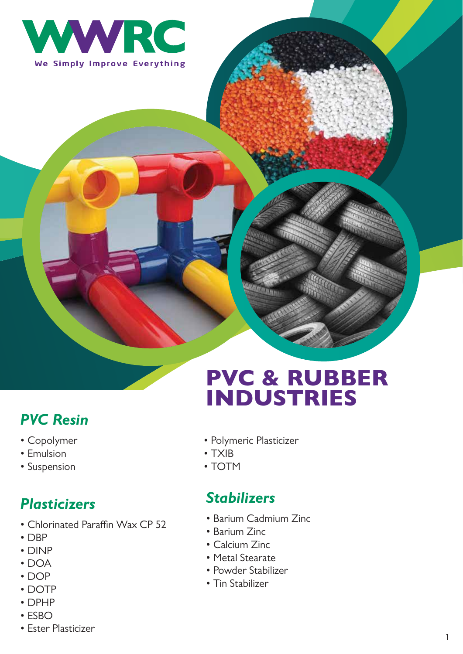

### *PVC Resin*

- Copolymer
- Emulsion
- Suspension

#### *Plasticizers*

- Chlorinated Paraffin Wax CP 52
- DBP
- DINP
- DOA
- DOP
- DOTP
- DPHP
- ESBO
- Ester Plasticizer

# PVC & RUBBER INDUSTRIES

- Polymeric Plasticizer
- TXIB
- TOTM

#### *Stabilizers*

- Barium Cadmium Zinc
- Barium Zinc
- Calcium Zinc
- Metal Stearate
- Powder Stabilizer
- Tin Stabilizer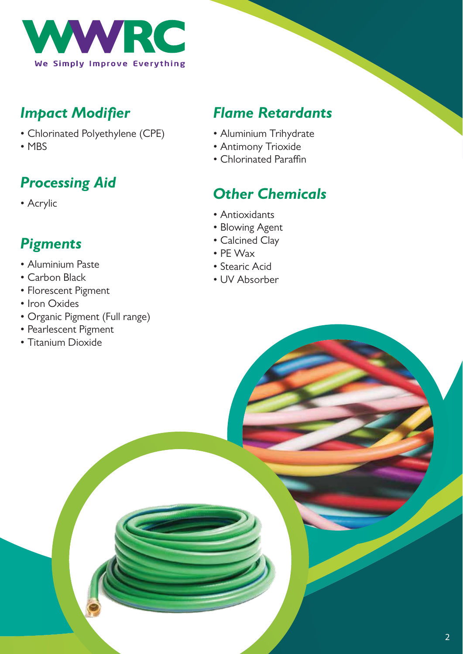

### *Impact Modifier*

- Chlorinated Polyethylene (CPE)
- MBS

# *Processing Aid*

• Acrylic

# *Pigments*

- Aluminium Paste
- Carbon Black
- Florescent Pigment
- Iron Oxides
- Organic Pigment (Full range)
- Pearlescent Pigment
- Titanium Dioxide

### *Flame Retardants*

- Aluminium Trihydrate
- Antimony Trioxide
- Chlorinated Paraffin

# *Other Chemicals*

- Antioxidants
- Blowing Agent
- Calcined Clay
- PE Wax
- Stearic Acid
- UV Absorber

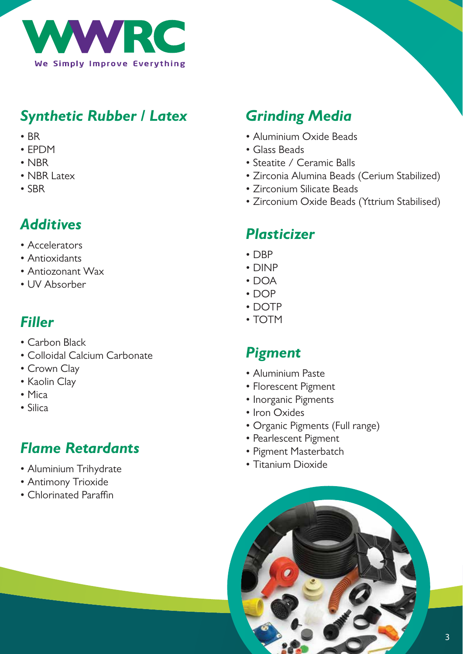

#### *Synthetic Rubber / Latex*

- BR
- EPDM
- NBR
- NBR Latex
- SBR

### *Additives*

- Accelerators
- Antioxidants
- Antiozonant Wax
- UV Absorber

#### *Filler*

- Carbon Black
- Colloidal Calcium Carbonate
- Crown Clay
- Kaolin Clay
- Mica
- Silica

# *Flame Retardants*

- Aluminium Trihydrate
- Antimony Trioxide
- Chlorinated Paraffin

#### *Grinding Media*

- Aluminium Oxide Beads
- Glass Beads
- Steatite / Ceramic Balls
- Zirconia Alumina Beads (Cerium Stabilized)
- Zirconium Silicate Beads
- Zirconium Oxide Beads (Yttrium Stabilised)

#### *Plasticizer*

- DBP
- DINP
- DOA
- DOP
- DOTP
- TOTM

#### *Pigment*

- Aluminium Paste
- Florescent Pigment
- Inorganic Pigments
- Iron Oxides
- Organic Pigments (Full range)
- Pearlescent Pigment
- Pigment Masterbatch
- Titanium Dioxide